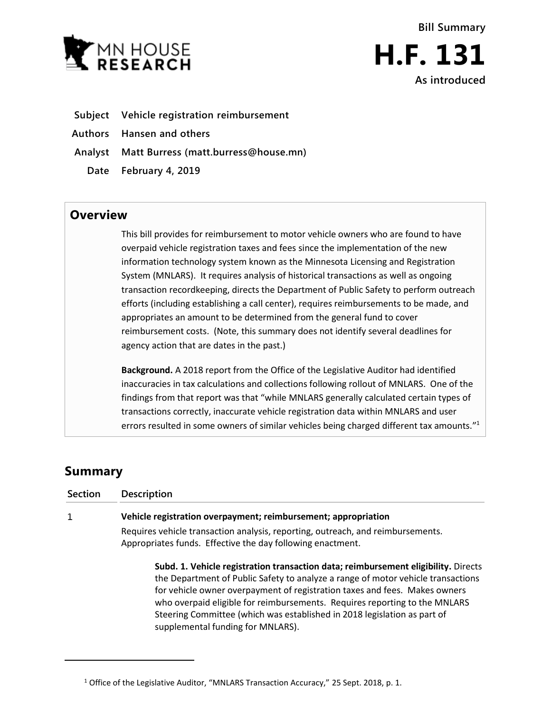

- **Subject Vehicle registration reimbursement**
- **Authors Hansen and others**
- **Analyst Matt Burress (matt.burress@house.mn)**
	- **Date February 4, 2019**

## **Overview**

This bill provides for reimbursement to motor vehicle owners who are found to have overpaid vehicle registration taxes and fees since the implementation of the new information technology system known as the Minnesota Licensing and Registration System (MNLARS). It requires analysis of historical transactions as well as ongoing transaction recordkeeping, directs the Department of Public Safety to perform outreach efforts (including establishing a call center), requires reimbursements to be made, and appropriates an amount to be determined from the general fund to cover reimbursement costs. (Note, this summary does not identify several deadlines for agency action that are dates in the past.)

**Background.** A 2018 report from the Office of the Legislative Auditor had identified inaccuracies in tax calculations and collections following rollout of MNLARS. One of the findings from that report was that "while MNLARS generally calculated certain types of transactions correctly, inaccurate vehicle registration data within MNLARS and user errors resulted in some owners of similar vehicles being charged different tax amounts."<sup>1</sup>

## **Summary**

 $\overline{a}$ 

| Section | <b>Description</b>                                                                                                                                                                                                                                                                                                                                                                                                                                  |
|---------|-----------------------------------------------------------------------------------------------------------------------------------------------------------------------------------------------------------------------------------------------------------------------------------------------------------------------------------------------------------------------------------------------------------------------------------------------------|
|         | Vehicle registration overpayment; reimbursement; appropriation                                                                                                                                                                                                                                                                                                                                                                                      |
|         | Requires vehicle transaction analysis, reporting, outreach, and reimbursements.<br>Appropriates funds. Effective the day following enactment.                                                                                                                                                                                                                                                                                                       |
|         | Subd. 1. Vehicle registration transaction data; reimbursement eligibility. Directs<br>the Department of Public Safety to analyze a range of motor vehicle transactions<br>for vehicle owner overpayment of registration taxes and fees. Makes owners<br>who overpaid eligible for reimbursements. Requires reporting to the MNLARS<br>Steering Committee (which was established in 2018 legislation as part of<br>supplemental funding for MNLARS). |

<sup>&</sup>lt;sup>1</sup> Office of the Legislative Auditor, "MNLARS Transaction Accuracy," 25 Sept. 2018, p. 1.